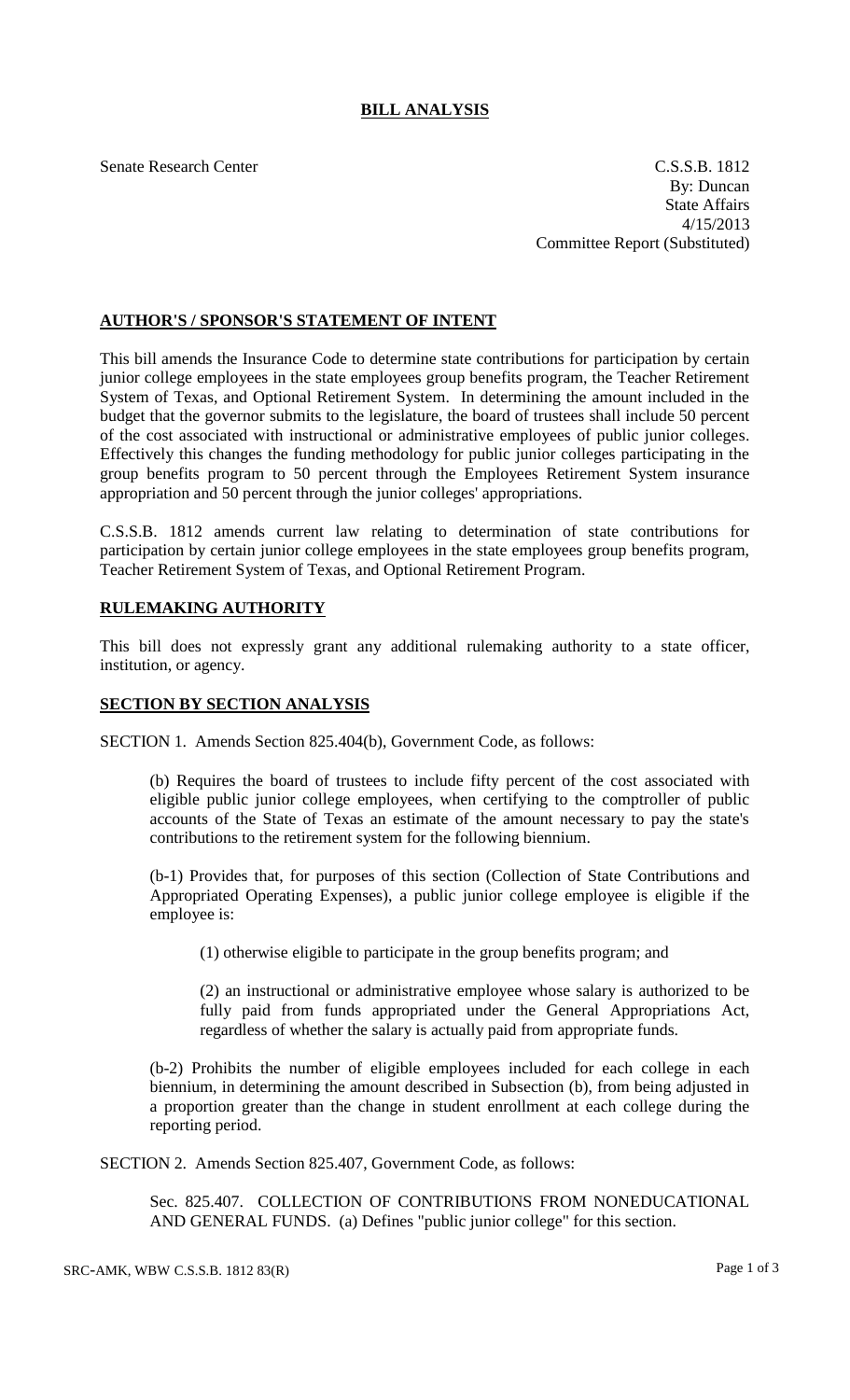## **BILL ANALYSIS**

Senate Research Center C.S.S.B. 1812 By: Duncan State Affairs 4/15/2013 Committee Report (Substituted)

## **AUTHOR'S / SPONSOR'S STATEMENT OF INTENT**

This bill amends the Insurance Code to determine state contributions for participation by certain junior college employees in the state employees group benefits program, the Teacher Retirement System of Texas, and Optional Retirement System. In determining the amount included in the budget that the governor submits to the legislature, the board of trustees shall include 50 percent of the cost associated with instructional or administrative employees of public junior colleges. Effectively this changes the funding methodology for public junior colleges participating in the group benefits program to 50 percent through the Employees Retirement System insurance appropriation and 50 percent through the junior colleges' appropriations.

C.S.S.B. 1812 amends current law relating to determination of state contributions for participation by certain junior college employees in the state employees group benefits program, Teacher Retirement System of Texas, and Optional Retirement Program.

## **RULEMAKING AUTHORITY**

This bill does not expressly grant any additional rulemaking authority to a state officer, institution, or agency.

## **SECTION BY SECTION ANALYSIS**

SECTION 1. Amends Section 825.404(b), Government Code, as follows:

(b) Requires the board of trustees to include fifty percent of the cost associated with eligible public junior college employees, when certifying to the comptroller of public accounts of the State of Texas an estimate of the amount necessary to pay the state's contributions to the retirement system for the following biennium.

(b-1) Provides that, for purposes of this section (Collection of State Contributions and Appropriated Operating Expenses), a public junior college employee is eligible if the employee is:

(1) otherwise eligible to participate in the group benefits program; and

(2) an instructional or administrative employee whose salary is authorized to be fully paid from funds appropriated under the General Appropriations Act, regardless of whether the salary is actually paid from appropriate funds.

(b-2) Prohibits the number of eligible employees included for each college in each biennium, in determining the amount described in Subsection (b), from being adjusted in a proportion greater than the change in student enrollment at each college during the reporting period.

SECTION 2. Amends Section 825.407, Government Code, as follows:

Sec. 825.407. COLLECTION OF CONTRIBUTIONS FROM NONEDUCATIONAL AND GENERAL FUNDS. (a) Defines "public junior college" for this section.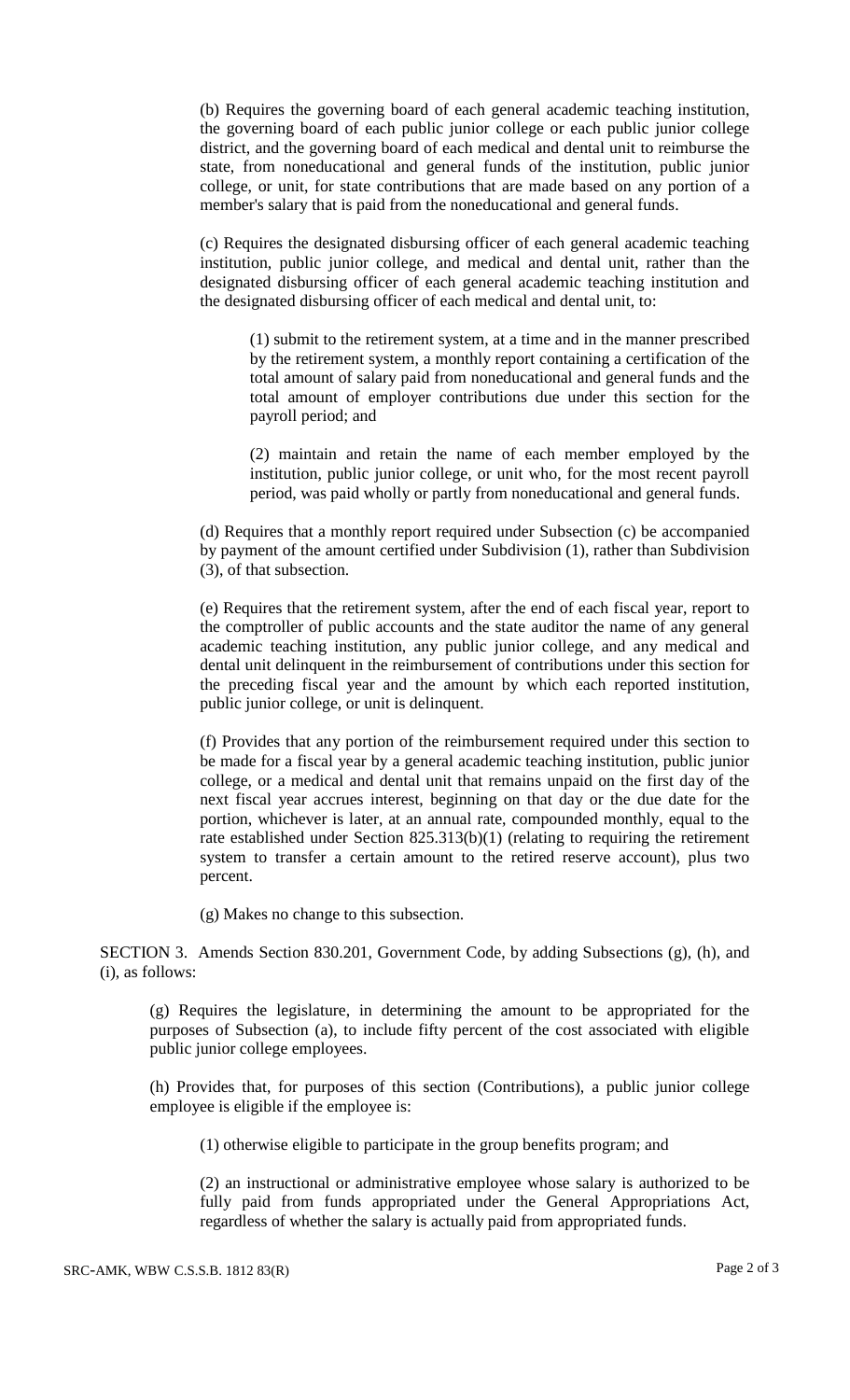(b) Requires the governing board of each general academic teaching institution, the governing board of each public junior college or each public junior college district, and the governing board of each medical and dental unit to reimburse the state, from noneducational and general funds of the institution, public junior college, or unit, for state contributions that are made based on any portion of a member's salary that is paid from the noneducational and general funds.

(c) Requires the designated disbursing officer of each general academic teaching institution, public junior college, and medical and dental unit, rather than the designated disbursing officer of each general academic teaching institution and the designated disbursing officer of each medical and dental unit, to:

(1) submit to the retirement system, at a time and in the manner prescribed by the retirement system, a monthly report containing a certification of the total amount of salary paid from noneducational and general funds and the total amount of employer contributions due under this section for the payroll period; and

(2) maintain and retain the name of each member employed by the institution, public junior college, or unit who, for the most recent payroll period, was paid wholly or partly from noneducational and general funds.

(d) Requires that a monthly report required under Subsection (c) be accompanied by payment of the amount certified under Subdivision (1), rather than Subdivision (3), of that subsection.

(e) Requires that the retirement system, after the end of each fiscal year, report to the comptroller of public accounts and the state auditor the name of any general academic teaching institution, any public junior college, and any medical and dental unit delinquent in the reimbursement of contributions under this section for the preceding fiscal year and the amount by which each reported institution, public junior college, or unit is delinquent.

(f) Provides that any portion of the reimbursement required under this section to be made for a fiscal year by a general academic teaching institution, public junior college, or a medical and dental unit that remains unpaid on the first day of the next fiscal year accrues interest, beginning on that day or the due date for the portion, whichever is later, at an annual rate, compounded monthly, equal to the rate established under Section 825.313(b)(1) (relating to requiring the retirement system to transfer a certain amount to the retired reserve account), plus two percent.

(g) Makes no change to this subsection.

SECTION 3. Amends Section 830.201, Government Code, by adding Subsections (g), (h), and (i), as follows:

(g) Requires the legislature, in determining the amount to be appropriated for the purposes of Subsection (a), to include fifty percent of the cost associated with eligible public junior college employees.

(h) Provides that, for purposes of this section (Contributions), a public junior college employee is eligible if the employee is:

(1) otherwise eligible to participate in the group benefits program; and

(2) an instructional or administrative employee whose salary is authorized to be fully paid from funds appropriated under the General Appropriations Act, regardless of whether the salary is actually paid from appropriated funds.